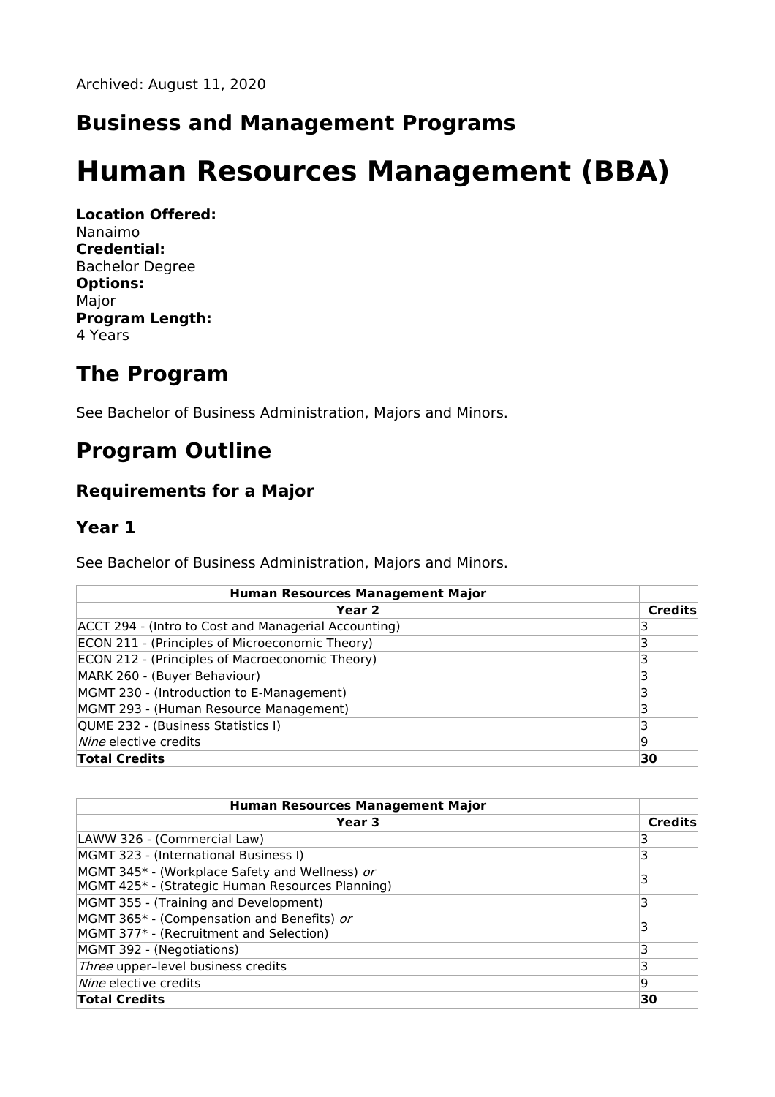### **Business and Management Programs**

# **Human Resources Management (BBA)**

**Location Offered:** Nanaimo **Credential:** Bachelor Degree **Options:** Major **Program Length:** 4 Years

### **The Program**

See Bachelor of Business Administration, Majors and Minors.

## **Program Outline**

#### **Requirements for a Major**

#### **Year 1**

See Bachelor of Business Administration, Majors and Minors.

| <b>Human Resources Management Major</b>              |                |
|------------------------------------------------------|----------------|
| Year <sub>2</sub>                                    | <b>Credits</b> |
| ACCT 294 - (Intro to Cost and Managerial Accounting) |                |
| ECON 211 - (Principles of Microeconomic Theory)      |                |
| ECON 212 - (Principles of Macroeconomic Theory)      |                |
| MARK 260 - (Buyer Behaviour)                         |                |
| MGMT 230 - (Introduction to E-Management)            |                |
| MGMT 293 - (Human Resource Management)               |                |
| QUME 232 - (Business Statistics I)                   |                |
| Nine elective credits                                | 19             |
| <b>Total Credits</b>                                 | 30             |

| <b>Human Resources Management Major</b>                                                            |                |
|----------------------------------------------------------------------------------------------------|----------------|
| Year 3                                                                                             | <b>Credits</b> |
| LAWW 326 - (Commercial Law)                                                                        |                |
| MGMT 323 - (International Business I)                                                              | 3              |
| MGMT 345* - (Workplace Safety and Wellness) or<br>MGMT 425* - (Strategic Human Resources Planning) |                |
| MGMT 355 - (Training and Development)                                                              | 3              |
| MGMT 365* - (Compensation and Benefits) or<br>MGMT 377* - (Recruitment and Selection)              | 3              |
| MGMT 392 - (Negotiations)                                                                          |                |
| Three upper-level business credits                                                                 | 3              |
| <i>Nine</i> elective credits                                                                       | 19             |
| <b>Total Credits</b>                                                                               | 30             |